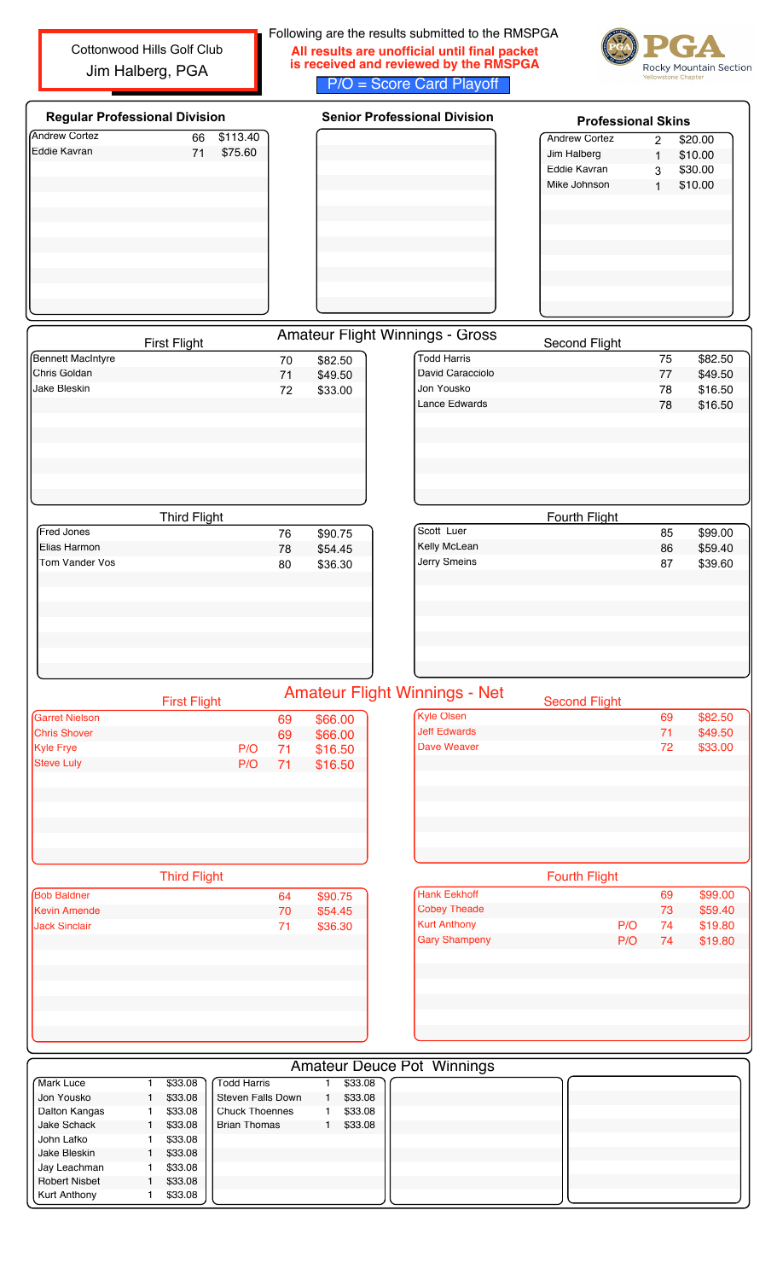Cottonwood Hills Golf Club Jim Halberg, PGA

## Following are the results submitted to the RMSPGA **All results are unofficial until final packet is received and reviewed by the RMSPGA** P/O = Score Card Playoff



| <b>Regular Professional Division</b> |                     |          |    |         | <b>Senior Professional Division</b>    | <b>Professional Skins</b> |                |         |  |
|--------------------------------------|---------------------|----------|----|---------|----------------------------------------|---------------------------|----------------|---------|--|
| <b>Andrew Cortez</b>                 | 66                  | \$113.40 |    |         |                                        | <b>Andrew Cortez</b>      | $\overline{2}$ | \$20.00 |  |
| Eddie Kavran                         | 71                  | \$75.60  |    |         |                                        | Jim Halberg               | $\mathbf{1}$   | \$10.00 |  |
|                                      |                     |          |    |         |                                        | Eddie Kavran              | 3              | \$30.00 |  |
|                                      |                     |          |    |         |                                        | Mike Johnson              | $\mathbf{1}$   | \$10.00 |  |
|                                      |                     |          |    |         |                                        |                           |                |         |  |
|                                      |                     |          |    |         |                                        |                           |                |         |  |
|                                      |                     |          |    |         |                                        |                           |                |         |  |
|                                      |                     |          |    |         |                                        |                           |                |         |  |
|                                      |                     |          |    |         |                                        |                           |                |         |  |
|                                      |                     |          |    |         |                                        |                           |                |         |  |
|                                      |                     |          |    |         |                                        |                           |                |         |  |
|                                      |                     |          |    |         |                                        |                           |                |         |  |
|                                      |                     |          |    |         |                                        |                           |                |         |  |
|                                      | <b>First Flight</b> |          |    |         | <b>Amateur Flight Winnings - Gross</b> | <b>Second Flight</b>      |                |         |  |
| <b>Bennett MacIntyre</b>             |                     |          | 70 | \$82.50 | <b>Todd Harris</b>                     |                           | 75             | \$82.50 |  |
| Chris Goldan                         |                     |          | 71 | \$49.50 | David Caracciolo                       |                           | 77             | \$49.50 |  |
| Jake Bleskin                         |                     |          | 72 | \$33.00 | Jon Yousko                             |                           | 78             | \$16.50 |  |
|                                      |                     |          |    |         | Lance Edwards                          |                           | 78             | \$16.50 |  |
|                                      |                     |          |    |         |                                        |                           |                |         |  |
|                                      |                     |          |    |         |                                        |                           |                |         |  |
|                                      |                     |          |    |         |                                        |                           |                |         |  |
|                                      |                     |          |    |         |                                        |                           |                |         |  |
|                                      |                     |          |    |         |                                        |                           |                |         |  |
|                                      |                     |          |    |         |                                        |                           |                |         |  |
|                                      | <b>Third Flight</b> |          |    |         |                                        | Fourth Flight             |                |         |  |
| Fred Jones                           |                     |          | 76 | \$90.75 | Scott Luer                             |                           | 85             | \$99.00 |  |
| Elias Harmon                         |                     |          | 78 | \$54.45 | Kelly McLean                           |                           | 86             | \$59.40 |  |
| Tom Vander Vos                       |                     |          | 80 | \$36.30 | Jerry Smeins                           |                           | 87             | \$39.60 |  |
|                                      |                     |          |    |         |                                        |                           |                |         |  |
|                                      |                     |          |    |         |                                        |                           |                |         |  |
|                                      |                     |          |    |         |                                        |                           |                |         |  |
|                                      |                     |          |    |         |                                        |                           |                |         |  |
|                                      |                     |          |    |         |                                        |                           |                |         |  |
|                                      |                     |          |    |         |                                        |                           |                |         |  |
|                                      |                     |          |    |         |                                        |                           |                |         |  |
|                                      |                     |          |    |         |                                        |                           |                |         |  |
|                                      | <b>First Flight</b> |          |    |         | <b>Amateur Flight Winnings - Net</b>   | <b>Second Flight</b>      |                |         |  |
| <b>Garret Nielson</b>                |                     |          | 69 | \$66.00 | <b>Kyle Olsen</b>                      |                           | 69             | \$82.50 |  |
| <b>Chris Shover</b>                  |                     |          | 69 | \$66.00 | <b>Jeff Edwards</b>                    |                           | 71             | \$49.50 |  |
| Kyle Frye                            |                     | P/O      | 71 | \$16.50 | <b>Dave Weaver</b>                     |                           | 72             | \$33.00 |  |
| <b>Steve Luly</b>                    |                     | P/O      | 71 | \$16.50 |                                        |                           |                |         |  |
|                                      |                     |          |    |         |                                        |                           |                |         |  |
|                                      |                     |          |    |         |                                        |                           |                |         |  |
|                                      |                     |          |    |         |                                        |                           |                |         |  |
|                                      |                     |          |    |         |                                        |                           |                |         |  |
|                                      |                     |          |    |         |                                        |                           |                |         |  |
|                                      |                     |          |    |         |                                        |                           |                |         |  |
|                                      | <b>Third Flight</b> |          |    |         |                                        | <b>Fourth Flight</b>      |                |         |  |
| <b>Bob Baldner</b>                   |                     |          | 64 | \$90.75 | <b>Hank Eekhoff</b>                    |                           | 69             | \$99.00 |  |
| Kevin Amende                         |                     |          | 70 | \$54.45 | <b>Cobey Theade</b>                    |                           | 73             | \$59.40 |  |
| <b>Jack Sinclair</b>                 |                     |          | 71 |         | <b>Kurt Anthony</b>                    | P/O                       | 74             | \$19.80 |  |
|                                      |                     |          |    | \$36.30 | <b>Gary Shampeny</b>                   | P/O                       | 74             | \$19.80 |  |
|                                      |                     |          |    |         |                                        |                           |                |         |  |
|                                      |                     |          |    |         |                                        |                           |                |         |  |
|                                      |                     |          |    |         |                                        |                           |                |         |  |
|                                      |                     |          |    |         |                                        |                           |                |         |  |
|                                      |                     |          |    |         |                                        |                           |                |         |  |
|                                      |                     |          |    |         |                                        |                           |                |         |  |
|                                      |                     |          |    |         |                                        |                           |                |         |  |
|                                      |                     |          |    |         |                                        |                           |                |         |  |
|                                      |                     |          |    |         | <b>Amateur Deuce Pot Winnings</b>      |                           |                |         |  |

| <b>í</b> Mark Luce   |  | \$33.08 | Todd Harris           |  | \$33.08 |  |  |  |  |  |  |  |
|----------------------|--|---------|-----------------------|--|---------|--|--|--|--|--|--|--|
| Jon Yousko           |  | \$33.08 | l Steven Falls Down   |  | \$33.08 |  |  |  |  |  |  |  |
| Dalton Kangas        |  | \$33.08 | <b>Chuck Thoennes</b> |  | \$33.08 |  |  |  |  |  |  |  |
| Jake Schack          |  | \$33.08 | <b>Brian Thomas</b>   |  | \$33.08 |  |  |  |  |  |  |  |
| John Lafko           |  | \$33.08 |                       |  |         |  |  |  |  |  |  |  |
| Jake Bleskin         |  | \$33.08 |                       |  |         |  |  |  |  |  |  |  |
| Jay Leachman         |  | \$33.08 |                       |  |         |  |  |  |  |  |  |  |
| <b>Robert Nisbet</b> |  | \$33.08 |                       |  |         |  |  |  |  |  |  |  |
| <b>Kurt Anthony</b>  |  | \$33.08 |                       |  |         |  |  |  |  |  |  |  |